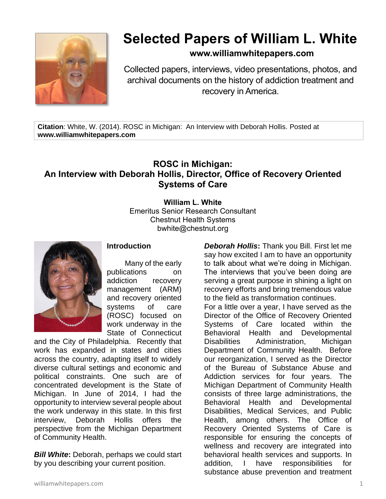

## **Selected Papers of William L. White**

## **www.williamwhitepapers.com**

Collected papers, interviews, video presentations, photos, and archival documents on the history of addiction treatment and recovery in America.

**Citation**: White, W. (2014). ROSC in Michigan: An Interview with Deborah Hollis. Posted at **www.williamwhitepapers.com**

## **ROSC in Michigan: An Interview with Deborah Hollis, Director, Office of Recovery Oriented Systems of Care**

## **William L. White**

Emeritus Senior Research Consultant Chestnut Health Systems bwhite@chestnut.org



**Introduction**

Many of the early publications on addiction recovery management (ARM) and recovery oriented systems of care (ROSC) focused on work underway in the State of Connecticut

and the City of Philadelphia. Recently that work has expanded in states and cities across the country, adapting itself to widely diverse cultural settings and economic and political constraints. One such are of concentrated development is the State of Michigan. In June of 2014, I had the opportunity to interview several people about the work underway in this state. In this first interview, Deborah Hollis offers the perspective from the Michigan Department of Community Health.

*Bill White***:** Deborah, perhaps we could start by you describing your current position.

*Deborah Hollis***:** Thank you Bill. First let me say how excited I am to have an opportunity to talk about what we're doing in Michigan. The interviews that you've been doing are serving a great purpose in shining a light on recovery efforts and bring tremendous value to the field as transformation continues. For a little over a year, I have served as the

Director of the Office of Recovery Oriented Systems of Care located within the Behavioral Health and Developmental Disabilities Administration, Michigan Department of Community Health. Before our reorganization, I served as the Director of the Bureau of Substance Abuse and Addiction services for four years. The Michigan Department of Community Health consists of three large administrations, the Behavioral Health and Developmental Disabilities, Medical Services, and Public Health, among others. The Office of Recovery Oriented Systems of Care is responsible for ensuring the concepts of wellness and recovery are integrated into behavioral health services and supports. In addition, I have responsibilities for substance abuse prevention and treatment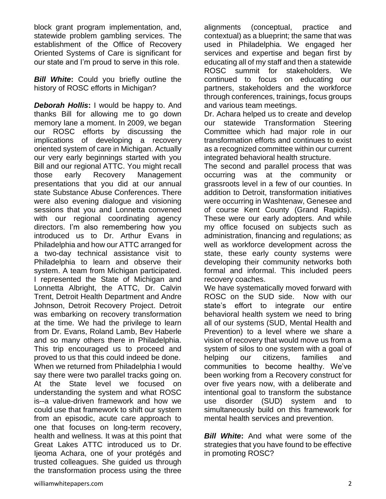block grant program implementation, and, statewide problem gambling services. The establishment of the Office of Recovery Oriented Systems of Care is significant for our state and I'm proud to serve in this role.

*Bill White***:** Could you briefly outline the history of ROSC efforts in Michigan?

*Deborah Hollis***:** I would be happy to. And thanks Bill for allowing me to go down memory lane a moment. In 2009, we began our ROSC efforts by discussing the implications of developing a recovery oriented system of care in Michigan. Actually our very early beginnings started with you Bill and our regional ATTC. You might recall those early Recovery Management presentations that you did at our annual state Substance Abuse Conferences. There were also evening dialogue and visioning sessions that you and Lonnetta convened with our regional coordinating agency directors. I'm also remembering how you introduced us to Dr. Arthur Evans in Philadelphia and how our ATTC arranged for a two-day technical assistance visit to Philadelphia to learn and observe their system. A team from Michigan participated. I represented the State of Michigan and Lonnetta Albright, the ATTC, Dr. Calvin Trent, Detroit Health Department and Andre Johnson, Detroit Recovery Project. Detroit was embarking on recovery transformation at the time. We had the privilege to learn from Dr. Evans, Roland Lamb, Bev Haberle and so many others there in Philadelphia. This trip encouraged us to proceed and proved to us that this could indeed be done. When we returned from Philadelphia I would say there were two parallel tracks going on. At the State level we focused on understanding the system and what ROSC is--a value-driven framework and how we could use that framework to shift our system from an episodic, acute care approach to one that focuses on long-term recovery, health and wellness. It was at this point that Great Lakes ATTC introduced us to Dr. Ijeoma Achara, one of your protégés and trusted colleagues. She guided us through the transformation process using the three

alignments (conceptual, practice and contextual) as a blueprint; the same that was used in Philadelphia. We engaged her services and expertise and began first by educating all of my staff and then a statewide ROSC summit for stakeholders. We continued to focus on educating our partners, stakeholders and the workforce through conferences, trainings, focus groups and various team meetings.

Dr. Achara helped us to create and develop our statewide Transformation Steering Committee which had major role in our transformation efforts and continues to exist as a recognized committee within our current integrated behavioral health structure.

The second and parallel process that was occurring was at the community or grassroots level in a few of our counties. In addition to Detroit, transformation initiatives were occurring in Washtenaw, Genesee and of course Kent County (Grand Rapids). These were our early adopters. And while my office focused on subjects such as administration, financing and regulations; as well as workforce development across the state, these early county systems were developing their community networks both formal and informal. This included peers recovery coaches.

We have systematically moved forward with ROSC on the SUD side. Now with our state's effort to integrate our entire behavioral health system we need to bring all of our systems (SUD, Mental Health and Prevention) to a level where we share a vision of recovery that would move us from a system of silos to one system with a goal of helping our citizens, families and communities to become healthy. We've been working from a Recovery construct for over five years now, with a deliberate and intentional goal to transform the substance use disorder (SUD) system and to simultaneously build on this framework for mental health services and prevention.

*Bill White***:** And what were some of the strategies that you have found to be effective in promoting ROSC?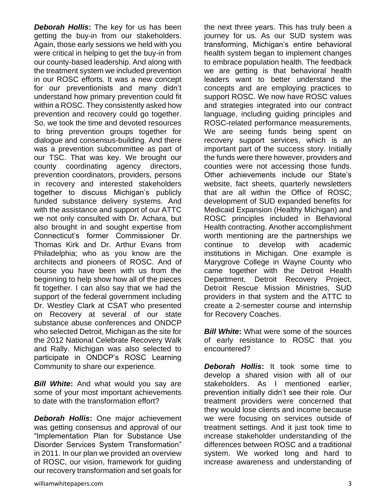*Deborah Hollis***:** The key for us has been getting the buy-in from our stakeholders. Again, those early sessions we held with you were critical in helping to get the buy-in from our county-based leadership. And along with the treatment system we included prevention in our ROSC efforts. It was a new concept for our preventionists and many didn't understand how primary prevention could fit within a ROSC. They consistently asked how prevention and recovery could go together. So, we took the time and devoted resources to bring prevention groups together for dialogue and consensus-building. And there was a prevention subcommittee as part of our TSC. That was key. We brought our county coordinating agency directors, prevention coordinators, providers, persons in recovery and interested stakeholders together to discuss Michigan's publicly funded substance delivery systems. And with the assistance and support of our ATTC we not only consulted with Dr. Achara, but also brought in and sought expertise from Connecticut's former Commissioner Dr. Thomas Kirk and Dr. Arthur Evans from Philadelphia; who as you know are the architects and pioneers of ROSC. And of course you have been with us from the beginning to help show how all of the pieces fit together. I can also say that we had the support of the federal government including Dr. Westley Clark at CSAT who presented on Recovery at several of our state substance abuse conferences and ONDCP who selected Detroit, Michigan as the site for the 2012 National Celebrate Recovery Walk and Rally. Michigan was also selected to participate in ONDCP's ROSC Learning Community to share our experience.

*Bill White***:** And what would you say are some of your most important achievements to date with the transformation effort?

*Deborah Hollis***:** One major achievement was getting consensus and approval of our "Implementation Plan for Substance Use Disorder Services System Transformation" in 2011. In our plan we provided an overview of ROSC, our vision, framework for guiding our recovery transformation and set goals for

the next three years. This has truly been a journey for us. As our SUD system was transforming, Michigan's entire behavioral health system began to implement changes to embrace population health. The feedback we are getting is that behavioral health leaders want to better understand the concepts and are employing practices to support ROSC. We now have ROSC values and strategies integrated into our contract language, including guiding principles and ROSC-related performance measurements. We are seeing funds being spent on recovery support services, which is an important part of the success story. Initially the funds were there however, providers and counties were not accessing those funds. Other achievements include our State's website, fact sheets, quarterly newsletters that are all within the Office of ROSC; development of SUD expanded benefits for Medicaid Expansion (Healthy Michigan) and ROSC principles included in Behavioral Health contracting. Another accomplishment worth mentioning are the partnerships we continue to develop with academic institutions in Michigan. One example is Marygrove College in Wayne County who came together with the Detroit Health Department, Detroit Recovery Project, Detroit Rescue Mission Ministries, SUD providers in that system and the ATTC to create a 2-semester course and internship for Recovery Coaches.

**Bill White:** What were some of the sources of early resistance to ROSC that you encountered?

*Deborah Hollis***:** It took some time to develop a shared vision with all of our stakeholders. As I mentioned earlier, prevention initially didn't see their role. Our treatment providers were concerned that they would lose clients and income because we were focusing on services outside of treatment settings. And it just took time to increase stakeholder understanding of the differences between ROSC and a traditional system. We worked long and hard to increase awareness and understanding of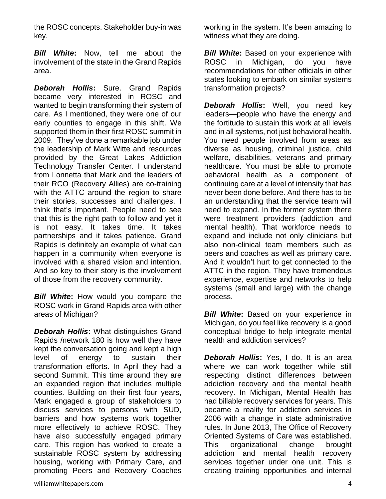the ROSC concepts. Stakeholder buy-in was key.

*Bill White***:** Now, tell me about the involvement of the state in the Grand Rapids area.

*Deborah Hollis***:** Sure. Grand Rapids became very interested in ROSC and wanted to begin transforming their system of care. As I mentioned, they were one of our early counties to engage in this shift. We supported them in their first ROSC summit in 2009. They've done a remarkable job under the leadership of Mark Witte and resources provided by the Great Lakes Addiction Technology Transfer Center. I understand from Lonnetta that Mark and the leaders of their RCO (Recovery Allies) are co-training with the ATTC around the region to share their stories, successes and challenges. I think that's important. People need to see that this is the right path to follow and yet it is not easy. It takes time. It takes partnerships and it takes patience. Grand Rapids is definitely an example of what can happen in a community when everyone is involved with a shared vision and intention. And so key to their story is the involvement of those from the recovery community.

*Bill White***:** How would you compare the ROSC work in Grand Rapids area with other areas of Michigan?

*Deborah Hollis***:** What distinguishes Grand Rapids /network 180 is how well they have kept the conversation going and kept a high level of energy to sustain their transformation efforts. In April they had a second Summit. This time around they are an expanded region that includes multiple counties. Building on their first four years, Mark engaged a group of stakeholders to discuss services to persons with SUD, barriers and how systems work together more effectively to achieve ROSC. They have also successfully engaged primary care. This region has worked to create a sustainable ROSC system by addressing housing, working with Primary Care, and promoting Peers and Recovery Coaches

**Bill White:** Based on your experience with ROSC in Michigan, do you have recommendations for other officials in other states looking to embark on similar systems transformation projects?

*Deborah Hollis***:** Well, you need key leaders—people who have the energy and the fortitude to sustain this work at all levels and in all systems, not just behavioral health. You need people involved from areas as diverse as housing, criminal justice, child welfare, disabilities, veterans and primary healthcare. You must be able to promote behavioral health as a component of continuing care at a level of intensity that has never been done before. And there has to be an understanding that the service team will need to expand. In the former system there were treatment providers (addiction and mental health). That workforce needs to expand and include not only clinicians but also non-clinical team members such as peers and coaches as well as primary care. And it wouldn't hurt to get connected to the ATTC in the region. They have tremendous experience, expertise and networks to help systems (small and large) with the change process.

*Bill White*: Based on your experience in Michigan, do you feel like recovery is a good conceptual bridge to help integrate mental health and addiction services?

*Deborah Hollis***:** Yes, I do. It is an area where we can work together while still respecting distinct differences between addiction recovery and the mental health recovery. In Michigan, Mental Health has had billable recovery services for years. This became a reality for addiction services in 2006 with a change in state administrative rules. In June 2013, The Office of Recovery Oriented Systems of Care was established. This organizational change brought addiction and mental health recovery services together under one unit. This is creating training opportunities and internal